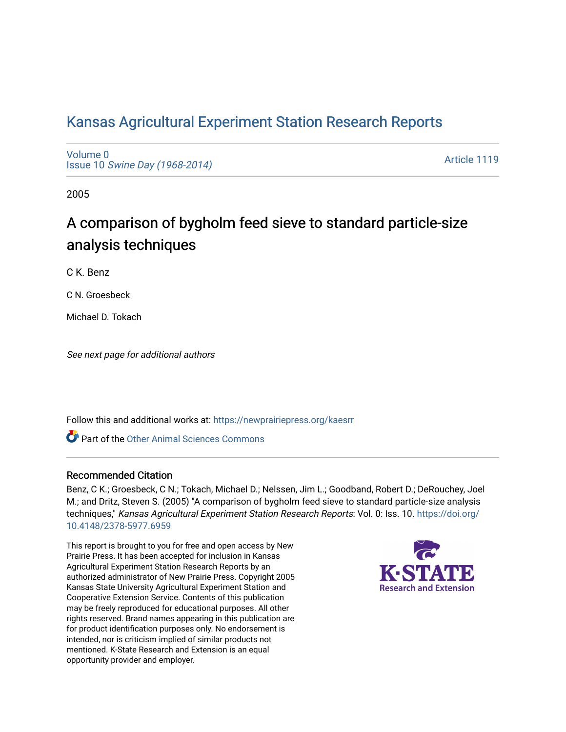# [Kansas Agricultural Experiment Station Research Reports](https://newprairiepress.org/kaesrr)

[Volume 0](https://newprairiepress.org/kaesrr/vol0) Issue 10 [Swine Day \(1968-2014\)](https://newprairiepress.org/kaesrr/vol0/iss10)

[Article 1119](https://newprairiepress.org/kaesrr/vol0/iss10/1119) 

2005

# A comparison of bygholm feed sieve to standard particle-size analysis techniques

C K. Benz

C N. Groesbeck

Michael D. Tokach

See next page for additional authors

Follow this and additional works at: [https://newprairiepress.org/kaesrr](https://newprairiepress.org/kaesrr?utm_source=newprairiepress.org%2Fkaesrr%2Fvol0%2Fiss10%2F1119&utm_medium=PDF&utm_campaign=PDFCoverPages) 

Part of the [Other Animal Sciences Commons](http://network.bepress.com/hgg/discipline/82?utm_source=newprairiepress.org%2Fkaesrr%2Fvol0%2Fiss10%2F1119&utm_medium=PDF&utm_campaign=PDFCoverPages)

#### Recommended Citation

Benz, C K.; Groesbeck, C N.; Tokach, Michael D.; Nelssen, Jim L.; Goodband, Robert D.; DeRouchey, Joel M.; and Dritz, Steven S. (2005) "A comparison of bygholm feed sieve to standard particle-size analysis techniques," Kansas Agricultural Experiment Station Research Reports: Vol. 0: Iss. 10. [https://doi.org/](https://doi.org/10.4148/2378-5977.6959) [10.4148/2378-5977.6959](https://doi.org/10.4148/2378-5977.6959)

This report is brought to you for free and open access by New Prairie Press. It has been accepted for inclusion in Kansas Agricultural Experiment Station Research Reports by an authorized administrator of New Prairie Press. Copyright 2005 Kansas State University Agricultural Experiment Station and Cooperative Extension Service. Contents of this publication may be freely reproduced for educational purposes. All other rights reserved. Brand names appearing in this publication are for product identification purposes only. No endorsement is intended, nor is criticism implied of similar products not mentioned. K-State Research and Extension is an equal opportunity provider and employer.

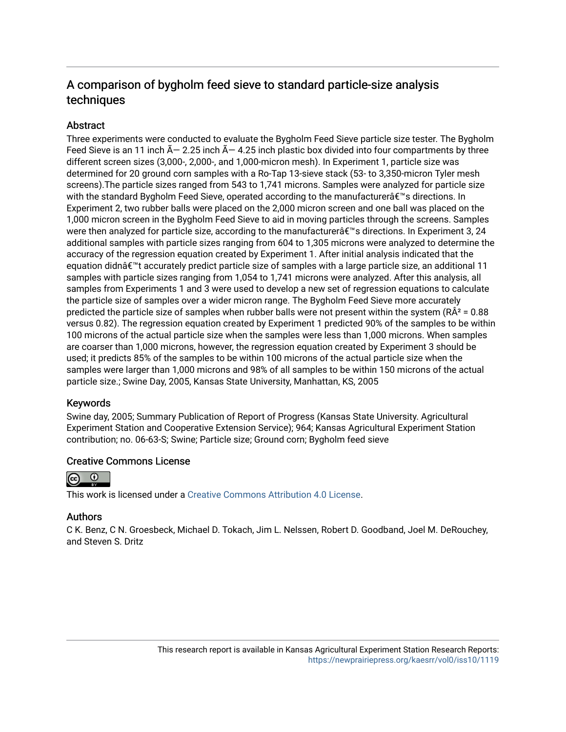# A comparison of bygholm feed sieve to standard particle-size analysis techniques

# **Abstract**

Three experiments were conducted to evaluate the Bygholm Feed Sieve particle size tester. The Bygholm Feed Sieve is an 11 inch  $\tilde{A}$  – 2.25 inch  $\tilde{A}$  – 4.25 inch plastic box divided into four compartments by three different screen sizes (3,000-, 2,000-, and 1,000-micron mesh). In Experiment 1, particle size was determined for 20 ground corn samples with a Ro-Tap 13-sieve stack (53- to 3,350-micron Tyler mesh screens).The particle sizes ranged from 543 to 1,741 microns. Samples were analyzed for particle size with the standard Bygholm Feed Sieve, operated according to the manufacturerâ€<sup>™</sup>s directions. In Experiment 2, two rubber balls were placed on the 2,000 micron screen and one ball was placed on the 1,000 micron screen in the Bygholm Feed Sieve to aid in moving particles through the screens. Samples were then analyzed for particle size, according to the manufacturer a is directions. In Experiment 3, 24 additional samples with particle sizes ranging from 604 to 1,305 microns were analyzed to determine the accuracy of the regression equation created by Experiment 1. After initial analysis indicated that the equation didn $\hat{\bm{\alpha}}^*$  accurately predict particle size of samples with a large particle size, an additional 11 samples with particle sizes ranging from 1,054 to 1,741 microns were analyzed. After this analysis, all samples from Experiments 1 and 3 were used to develop a new set of regression equations to calculate the particle size of samples over a wider micron range. The Bygholm Feed Sieve more accurately predicted the particle size of samples when rubber balls were not present within the system ( $R\hat{A}^2 = 0.88$ ) versus 0.82). The regression equation created by Experiment 1 predicted 90% of the samples to be within 100 microns of the actual particle size when the samples were less than 1,000 microns. When samples are coarser than 1,000 microns, however, the regression equation created by Experiment 3 should be used; it predicts 85% of the samples to be within 100 microns of the actual particle size when the samples were larger than 1,000 microns and 98% of all samples to be within 150 microns of the actual particle size.; Swine Day, 2005, Kansas State University, Manhattan, KS, 2005

## Keywords

Swine day, 2005; Summary Publication of Report of Progress (Kansas State University. Agricultural Experiment Station and Cooperative Extension Service); 964; Kansas Agricultural Experiment Station contribution; no. 06-63-S; Swine; Particle size; Ground corn; Bygholm feed sieve

## Creative Commons License



This work is licensed under a [Creative Commons Attribution 4.0 License](https://creativecommons.org/licenses/by/4.0/).

## Authors

C K. Benz, C N. Groesbeck, Michael D. Tokach, Jim L. Nelssen, Robert D. Goodband, Joel M. DeRouchey, and Steven S. Dritz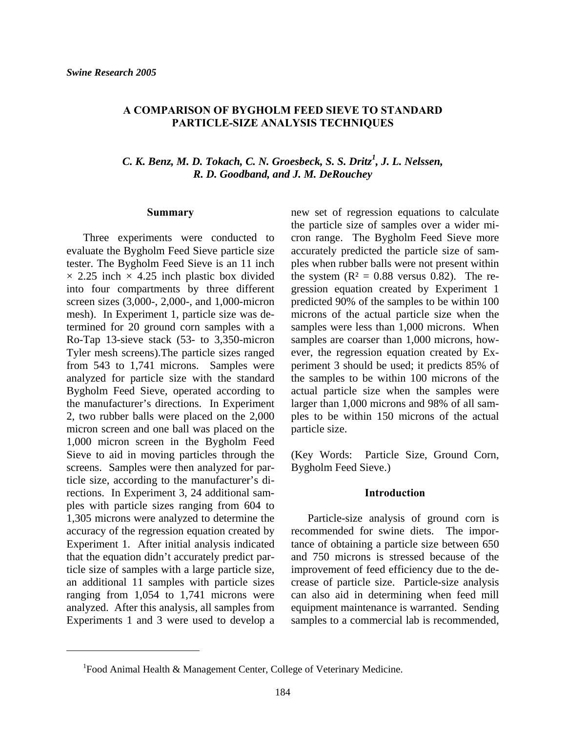#### **A COMPARISON OF BYGHOLM FEED SIEVE TO STANDARD PARTICLE-SIZE ANALYSIS TECHNIQUES**

# *C. K. Benz, M. D. Tokach, C. N. Groesbeck, S. S. Dritz<sup>1</sup> , J. L. Nelssen, R. D. Goodband, and J. M. DeRouchey*

#### **Summary**

 Three experiments were conducted to evaluate the Bygholm Feed Sieve particle size tester. The Bygholm Feed Sieve is an 11 inch  $\times$  2.25 inch  $\times$  4.25 inch plastic box divided into four compartments by three different screen sizes (3,000-, 2,000-, and 1,000-micron mesh). In Experiment 1, particle size was determined for 20 ground corn samples with a Ro-Tap 13-sieve stack (53- to 3,350-micron Tyler mesh screens).The particle sizes ranged from 543 to 1,741 microns. Samples were analyzed for particle size with the standard Bygholm Feed Sieve, operated according to the manufacturer's directions. In Experiment 2, two rubber balls were placed on the 2,000 micron screen and one ball was placed on the 1,000 micron screen in the Bygholm Feed Sieve to aid in moving particles through the screens. Samples were then analyzed for particle size, according to the manufacturer's directions. In Experiment 3, 24 additional samples with particle sizes ranging from 604 to 1,305 microns were analyzed to determine the accuracy of the regression equation created by Experiment 1. After initial analysis indicated that the equation didn't accurately predict particle size of samples with a large particle size, an additional 11 samples with particle sizes ranging from 1,054 to 1,741 microns were analyzed. After this analysis, all samples from Experiments 1 and 3 were used to develop a

l

new set of regression equations to calculate the particle size of samples over a wider micron range. The Bygholm Feed Sieve more accurately predicted the particle size of samples when rubber balls were not present within the system  $(R^2 = 0.88$  versus 0.82). The regression equation created by Experiment 1 predicted 90% of the samples to be within 100 microns of the actual particle size when the samples were less than 1,000 microns. When samples are coarser than 1,000 microns, however, the regression equation created by Experiment 3 should be used; it predicts 85% of the samples to be within 100 microns of the actual particle size when the samples were larger than 1,000 microns and 98% of all samples to be within 150 microns of the actual particle size.

(Key Words: Particle Size, Ground Corn, Bygholm Feed Sieve.)

#### **Introduction**

 Particle-size analysis of ground corn is recommended for swine diets. The importance of obtaining a particle size between 650 and 750 microns is stressed because of the improvement of feed efficiency due to the decrease of particle size. Particle-size analysis can also aid in determining when feed mill equipment maintenance is warranted. Sending samples to a commercial lab is recommended,

<sup>&</sup>lt;sup>1</sup>Food Animal Health & Management Center, College of Veterinary Medicine.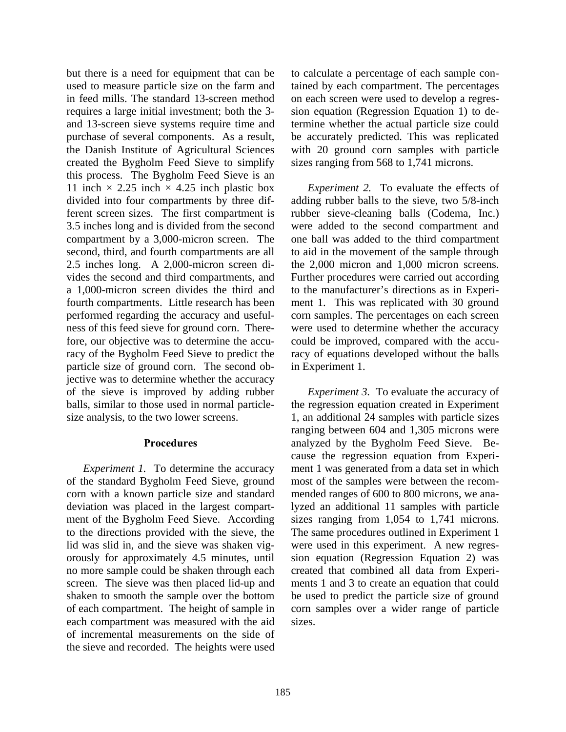but there is a need for equipment that can be used to measure particle size on the farm and in feed mills. The standard 13-screen method requires a large initial investment; both the 3 and 13-screen sieve systems require time and purchase of several components. As a result, the Danish Institute of Agricultural Sciences created the Bygholm Feed Sieve to simplify this process. The Bygholm Feed Sieve is an 11 inch  $\times$  2.25 inch  $\times$  4.25 inch plastic box divided into four compartments by three different screen sizes. The first compartment is 3.5 inches long and is divided from the second compartment by a 3,000-micron screen. The second, third, and fourth compartments are all 2.5 inches long. A 2,000-micron screen divides the second and third compartments, and a 1,000-micron screen divides the third and fourth compartments. Little research has been performed regarding the accuracy and usefulness of this feed sieve for ground corn. Therefore, our objective was to determine the accuracy of the Bygholm Feed Sieve to predict the particle size of ground corn. The second objective was to determine whether the accuracy of the sieve is improved by adding rubber balls, similar to those used in normal particlesize analysis, to the two lower screens.

#### **Procedures**

*Experiment 1.* To determine the accuracy of the standard Bygholm Feed Sieve, ground corn with a known particle size and standard deviation was placed in the largest compartment of the Bygholm Feed Sieve. According to the directions provided with the sieve, the lid was slid in, and the sieve was shaken vigorously for approximately 4.5 minutes, until no more sample could be shaken through each screen. The sieve was then placed lid-up and shaken to smooth the sample over the bottom of each compartment. The height of sample in each compartment was measured with the aid of incremental measurements on the side of the sieve and recorded. The heights were used

to calculate a percentage of each sample contained by each compartment. The percentages on each screen were used to develop a regression equation (Regression Equation 1) to determine whether the actual particle size could be accurately predicted. This was replicated with 20 ground corn samples with particle sizes ranging from 568 to 1,741 microns.

*Experiment 2.* To evaluate the effects of adding rubber balls to the sieve, two 5/8-inch rubber sieve-cleaning balls (Codema, Inc.) were added to the second compartment and one ball was added to the third compartment to aid in the movement of the sample through the 2,000 micron and 1,000 micron screens. Further procedures were carried out according to the manufacturer's directions as in Experiment 1. This was replicated with 30 ground corn samples. The percentages on each screen were used to determine whether the accuracy could be improved, compared with the accuracy of equations developed without the balls in Experiment 1.

*Experiment 3.* To evaluate the accuracy of the regression equation created in Experiment 1, an additional 24 samples with particle sizes ranging between 604 and 1,305 microns were analyzed by the Bygholm Feed Sieve. Because the regression equation from Experiment 1 was generated from a data set in which most of the samples were between the recommended ranges of 600 to 800 microns, we analyzed an additional 11 samples with particle sizes ranging from 1,054 to 1,741 microns. The same procedures outlined in Experiment 1 were used in this experiment. A new regression equation (Regression Equation 2) was created that combined all data from Experiments 1 and 3 to create an equation that could be used to predict the particle size of ground corn samples over a wider range of particle sizes.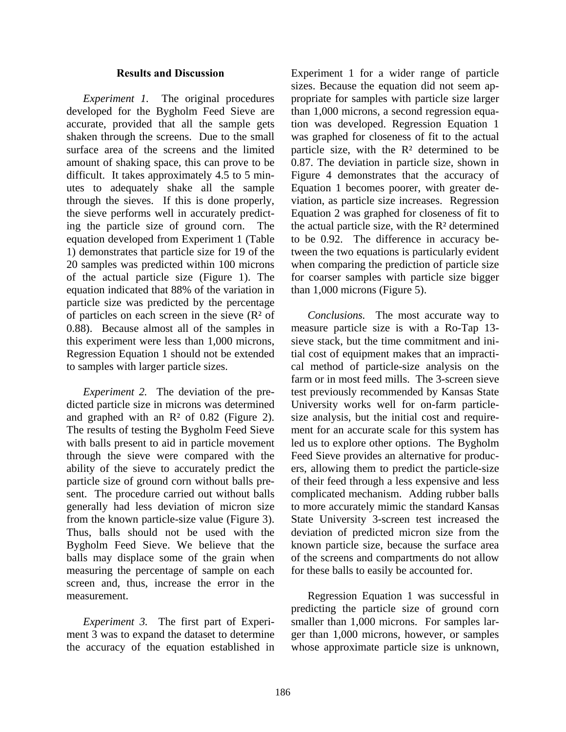#### **Results and Discussion**

*Experiment 1.* The original procedures developed for the Bygholm Feed Sieve are accurate, provided that all the sample gets shaken through the screens. Due to the small surface area of the screens and the limited amount of shaking space, this can prove to be difficult. It takes approximately 4.5 to 5 minutes to adequately shake all the sample through the sieves. If this is done properly, the sieve performs well in accurately predicting the particle size of ground corn. The equation developed from Experiment 1 (Table 1) demonstrates that particle size for 19 of the 20 samples was predicted within 100 microns of the actual particle size (Figure 1). The equation indicated that 88% of the variation in particle size was predicted by the percentage of particles on each screen in the sieve  $(R<sup>2</sup>$  of 0.88). Because almost all of the samples in this experiment were less than 1,000 microns, Regression Equation 1 should not be extended to samples with larger particle sizes.

*Experiment 2.* The deviation of the predicted particle size in microns was determined and graphed with an  $\mathbb{R}^2$  of 0.82 (Figure 2). The results of testing the Bygholm Feed Sieve with balls present to aid in particle movement through the sieve were compared with the ability of the sieve to accurately predict the particle size of ground corn without balls present. The procedure carried out without balls generally had less deviation of micron size from the known particle-size value (Figure 3). Thus, balls should not be used with the Bygholm Feed Sieve. We believe that the balls may displace some of the grain when measuring the percentage of sample on each screen and, thus, increase the error in the measurement.

*Experiment 3.* The first part of Experiment 3 was to expand the dataset to determine the accuracy of the equation established in Experiment 1 for a wider range of particle sizes. Because the equation did not seem appropriate for samples with particle size larger than 1,000 microns, a second regression equation was developed. Regression Equation 1 was graphed for closeness of fit to the actual particle size, with the  $\mathbb{R}^2$  determined to be 0.87. The deviation in particle size, shown in Figure 4 demonstrates that the accuracy of Equation 1 becomes poorer, with greater deviation, as particle size increases. Regression Equation 2 was graphed for closeness of fit to the actual particle size, with the R² determined to be 0.92. The difference in accuracy between the two equations is particularly evident when comparing the prediction of particle size for coarser samples with particle size bigger than 1,000 microns (Figure 5).

*Conclusions.* The most accurate way to measure particle size is with a Ro-Tap 13 sieve stack, but the time commitment and initial cost of equipment makes that an impractical method of particle-size analysis on the farm or in most feed mills. The 3-screen sieve test previously recommended by Kansas State University works well for on-farm particlesize analysis, but the initial cost and requirement for an accurate scale for this system has led us to explore other options. The Bygholm Feed Sieve provides an alternative for producers, allowing them to predict the particle-size of their feed through a less expensive and less complicated mechanism. Adding rubber balls to more accurately mimic the standard Kansas State University 3-screen test increased the deviation of predicted micron size from the known particle size, because the surface area of the screens and compartments do not allow for these balls to easily be accounted for.

 Regression Equation 1 was successful in predicting the particle size of ground corn smaller than 1,000 microns. For samples larger than 1,000 microns, however, or samples whose approximate particle size is unknown,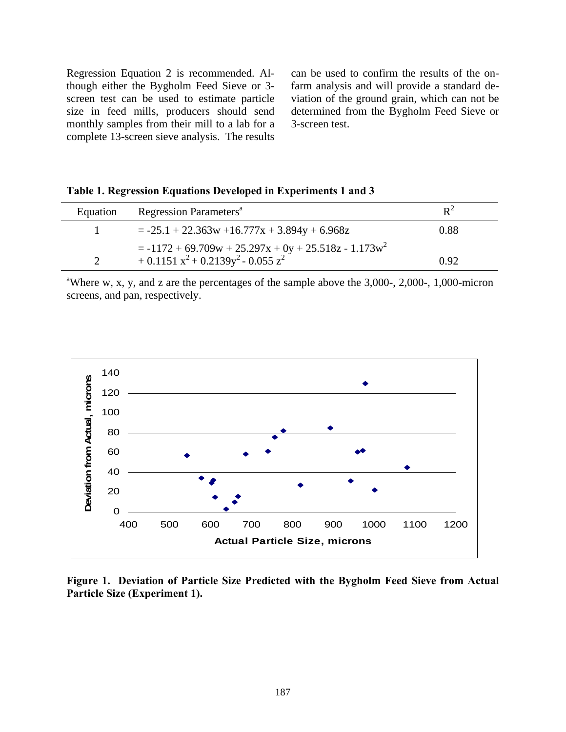Regression Equation 2 is recommended. Although either the Bygholm Feed Sieve or 3 screen test can be used to estimate particle size in feed mills, producers should send monthly samples from their mill to a lab for a complete 13-screen sieve analysis. The results

can be used to confirm the results of the onfarm analysis and will provide a standard deviation of the ground grain, which can not be determined from the Bygholm Feed Sieve or 3-screen test.

|  | Table 1. Regression Equations Developed in Experiments 1 and 3 |  |  |  |
|--|----------------------------------------------------------------|--|--|--|
|  |                                                                |  |  |  |

| Equation | Regression Parameters <sup>a</sup>                                                               | $R^2$ |
|----------|--------------------------------------------------------------------------------------------------|-------|
|          | $= -25.1 + 22.363w + 16.777x + 3.894y + 6.968z$                                                  | 0.88  |
|          | $= -1172 + 69.709w + 25.297x + 0y + 25.518z - 1.173w^2$<br>$+0.1151 x^2 + 0.2139y^2 - 0.055 z^2$ | 0.92  |

<sup>a</sup>Where w, x, y, and z are the percentages of the sample above the  $3,000$ -,  $2,000$ -,  $1,000$ -micron screens, and pan, respectively.



**Figure 1. Deviation of Particle Size Predicted with the Bygholm Feed Sieve from Actual Particle Size (Experiment 1).**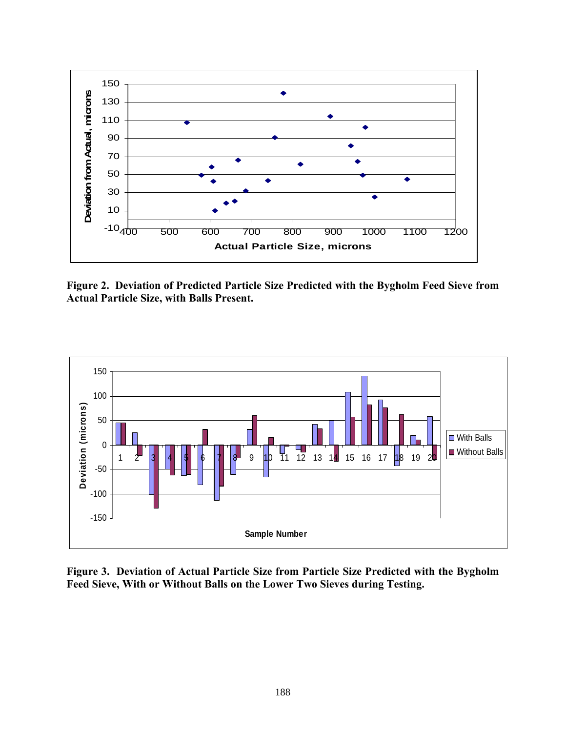

**Figure 2. Deviation of Predicted Particle Size Predicted with the Bygholm Feed Sieve from Actual Particle Size, with Balls Present.** 



**Figure 3. Deviation of Actual Particle Size from Particle Size Predicted with the Bygholm Feed Sieve, With or Without Balls on the Lower Two Sieves during Testing.**